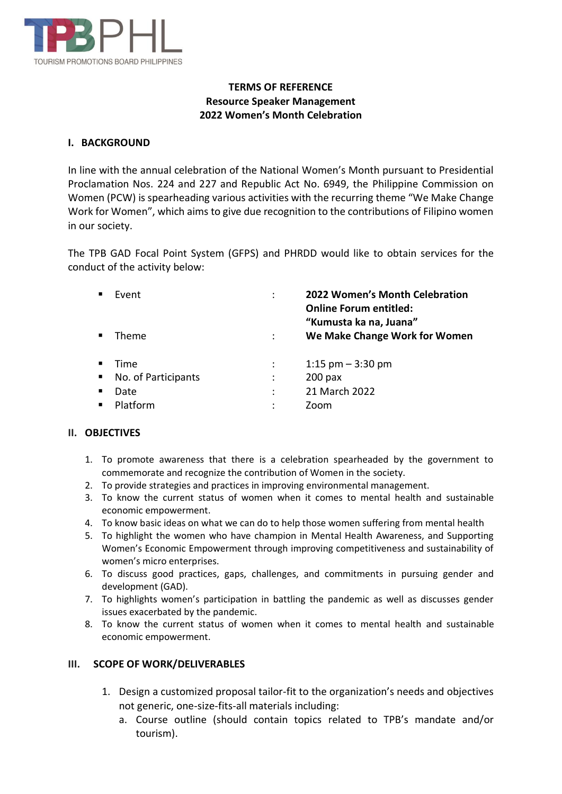

# **TERMS OF REFERENCE Resource Speaker Management 2022 Women's Month Celebration**

## **I. BACKGROUND**

In line with the annual celebration of the National Women's Month pursuant to Presidential Proclamation Nos. 224 and 227 and Republic Act No. 6949, the Philippine Commission on Women (PCW) is spearheading various activities with the recurring theme "We Make Change Work for Women", which aims to give due recognition to the contributions of Filipino women in our society.

The TPB GAD Focal Point System (GFPS) and PHRDD would like to obtain services for the conduct of the activity below:

|                | Event               |                      | 2022 Women's Month Celebration<br><b>Online Forum entitled:</b><br>"Kumusta ka na, Juana" |
|----------------|---------------------|----------------------|-------------------------------------------------------------------------------------------|
|                | Theme               |                      | We Make Change Work for Women                                                             |
|                | Time                | $\ddot{\phantom{a}}$ | 1:15 $pm - 3:30$ pm                                                                       |
| $\blacksquare$ | No. of Participants |                      | $200$ pax                                                                                 |
|                | Date                | ÷                    | 21 March 2022                                                                             |
|                | Platform            | $\bullet$            | Zoom                                                                                      |

## **II. OBJECTIVES**

- 1. To promote awareness that there is a celebration spearheaded by the government to commemorate and recognize the contribution of Women in the society.
- 2. To provide strategies and practices in improving environmental management.
- 3. To know the current status of women when it comes to mental health and sustainable economic empowerment.
- 4. To know basic ideas on what we can do to help those women suffering from mental health
- 5. To highlight the women who have champion in Mental Health Awareness, and Supporting Women's Economic Empowerment through improving competitiveness and sustainability of women's micro enterprises.
- 6. To discuss good practices, gaps, challenges, and commitments in pursuing gender and development (GAD).
- 7. To highlights women's participation in battling the pandemic as well as discusses gender issues exacerbated by the pandemic.
- 8. To know the current status of women when it comes to mental health and sustainable economic empowerment.

## **III. SCOPE OF WORK/DELIVERABLES**

- 1. Design a customized proposal tailor-fit to the organization's needs and objectives not generic, one-size-fits-all materials including:
	- a. Course outline (should contain topics related to TPB's mandate and/or tourism).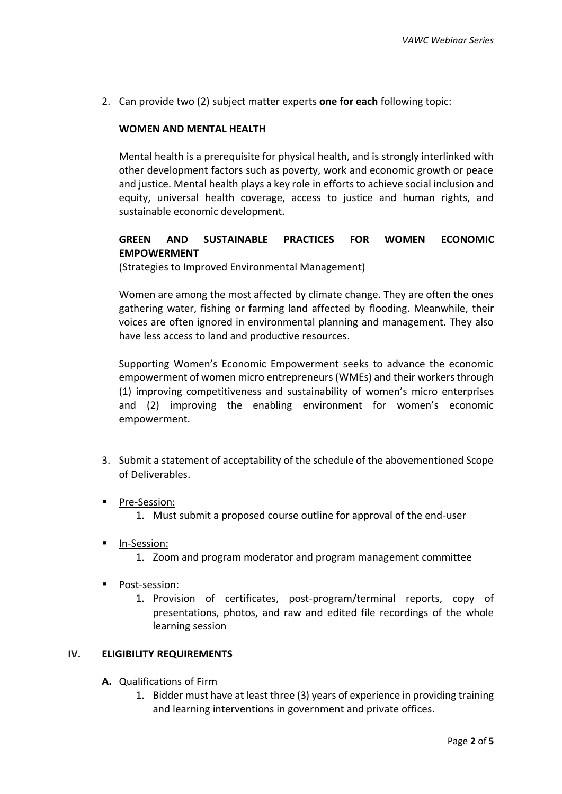2. Can provide two (2) subject matter experts **one for each** following topic:

## **WOMEN AND MENTAL HEALTH**

Mental health is a prerequisite for physical health, and is strongly interlinked with other development factors such as poverty, work and economic growth or peace and justice. Mental health plays a key role in efforts to achieve social inclusion and equity, universal health coverage, access to justice and human rights, and sustainable economic development.

## **GREEN AND SUSTAINABLE PRACTICES FOR WOMEN ECONOMIC EMPOWERMENT**

(Strategies to Improved Environmental Management)

Women are among the most affected by climate change. They are often the ones gathering water, fishing or farming land affected by flooding. Meanwhile, their voices are often ignored in environmental planning and management. They also have less access to land and productive resources.

Supporting Women's Economic Empowerment seeks to advance the economic empowerment of women micro entrepreneurs (WMEs) and their workers through (1) improving competitiveness and sustainability of women's micro enterprises and (2) improving the enabling environment for women's economic empowerment.

- 3. Submit a statement of acceptability of the schedule of the abovementioned Scope of Deliverables.
- Pre-Session:
	- 1. Must submit a proposed course outline for approval of the end-user
- In-Session:
	- 1. Zoom and program moderator and program management committee
- Post-session:
	- 1. Provision of certificates, post-program/terminal reports, copy of presentations, photos, and raw and edited file recordings of the whole learning session

#### **IV. ELIGIBILITY REQUIREMENTS**

- **A.** Qualifications of Firm
	- 1. Bidder must have at least three (3) years of experience in providing training and learning interventions in government and private offices.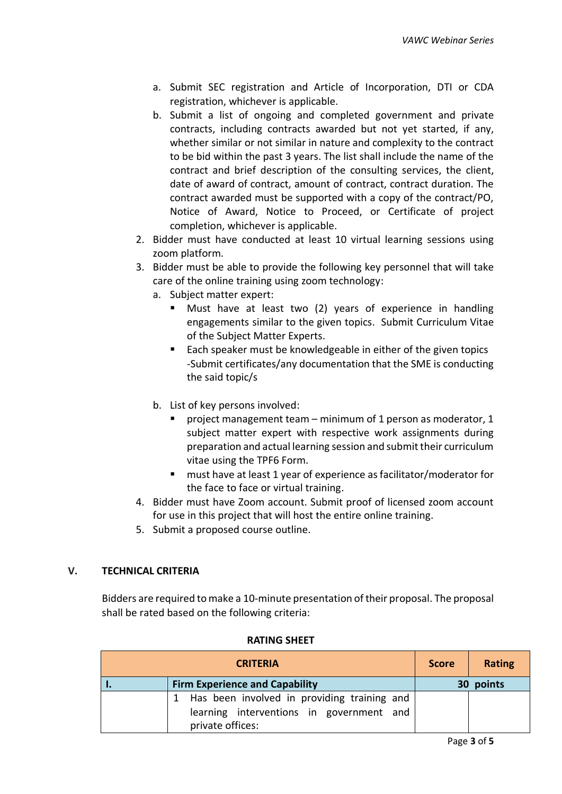- a. Submit SEC registration and Article of Incorporation, DTI or CDA registration, whichever is applicable.
- b. Submit a list of ongoing and completed government and private contracts, including contracts awarded but not yet started, if any, whether similar or not similar in nature and complexity to the contract to be bid within the past 3 years. The list shall include the name of the contract and brief description of the consulting services, the client, date of award of contract, amount of contract, contract duration. The contract awarded must be supported with a copy of the contract/PO, Notice of Award, Notice to Proceed, or Certificate of project completion, whichever is applicable.
- 2. Bidder must have conducted at least 10 virtual learning sessions using zoom platform.
- 3. Bidder must be able to provide the following key personnel that will take care of the online training using zoom technology:
	- a. Subject matter expert:
		- Must have at least two (2) years of experience in handling engagements similar to the given topics. Submit Curriculum Vitae of the Subject Matter Experts.
		- Each speaker must be knowledgeable in either of the given topics -Submit certificates/any documentation that the SME is conducting the said topic/s
	- b. List of key persons involved:
		- project management team minimum of 1 person as moderator, 1 subject matter expert with respective work assignments during preparation and actual learning session and submit their curriculum vitae using the TPF6 Form.
		- must have at least 1 year of experience as facilitator/moderator for the face to face or virtual training.
- 4. Bidder must have Zoom account. Submit proof of licensed zoom account for use in this project that will host the entire online training.
- 5. Submit a proposed course outline.

# **V. TECHNICAL CRITERIA**

Bidders are required to make a 10-minute presentation of their proposal. The proposal shall be rated based on the following criteria:

| <b>CRITERIA</b>                             |                                                                                                             |           | Rating |
|---------------------------------------------|-------------------------------------------------------------------------------------------------------------|-----------|--------|
| <b>Firm Experience and Capability</b><br>٠. |                                                                                                             | 30 points |        |
|                                             | Has been involved in providing training and<br>learning interventions in government and<br>private offices: |           |        |

## **RATING SHEET**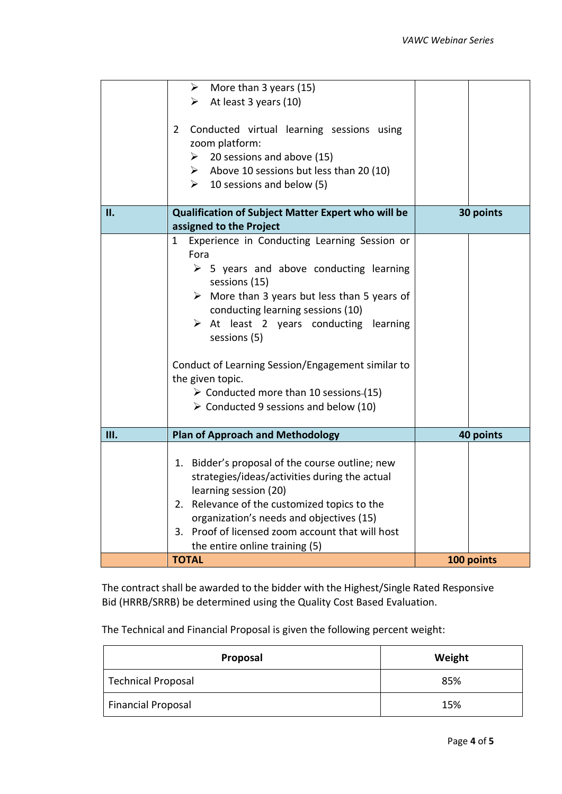|     | $\triangleright$ More than 3 years (15)<br>$\triangleright$ At least 3 years (10)<br>Conducted virtual learning sessions using<br>$\mathbf{2}$<br>zoom platform:<br>$\geq$ 20 sessions and above (15)<br>$\triangleright$ Above 10 sessions but less than 20 (10)<br>10 sessions and below (5)<br>$\blacktriangleright$                                                                                                                                                                                                |            |
|-----|------------------------------------------------------------------------------------------------------------------------------------------------------------------------------------------------------------------------------------------------------------------------------------------------------------------------------------------------------------------------------------------------------------------------------------------------------------------------------------------------------------------------|------------|
| II. | Qualification of Subject Matter Expert who will be<br>assigned to the Project                                                                                                                                                                                                                                                                                                                                                                                                                                          | 30 points  |
|     | Experience in Conducting Learning Session or<br>$\mathbf{1}$<br>Fora<br>$\triangleright$ 5 years and above conducting learning<br>sessions (15)<br>$\triangleright$ More than 3 years but less than 5 years of<br>conducting learning sessions (10)<br>$\triangleright$ At least 2 years conducting learning<br>sessions (5)<br>Conduct of Learning Session/Engagement similar to<br>the given topic.<br>$\triangleright$ Conducted more than 10 sessions-(15)<br>$\triangleright$ Conducted 9 sessions and below (10) |            |
| Ш.  | <b>Plan of Approach and Methodology</b>                                                                                                                                                                                                                                                                                                                                                                                                                                                                                | 40 points  |
|     | 1. Bidder's proposal of the course outline; new<br>strategies/ideas/activities during the actual<br>learning session (20)<br>2. Relevance of the customized topics to the<br>organization's needs and objectives (15)<br>3. Proof of licensed zoom account that will host<br>the entire online training (5)                                                                                                                                                                                                            |            |
|     | <b>TOTAL</b>                                                                                                                                                                                                                                                                                                                                                                                                                                                                                                           | 100 points |

The contract shall be awarded to the bidder with the Highest/Single Rated Responsive Bid (HRRB/SRRB) be determined using the Quality Cost Based Evaluation.

The Technical and Financial Proposal is given the following percent weight:

| Proposal                  | Weight |
|---------------------------|--------|
| <b>Technical Proposal</b> | 85%    |
| <b>Financial Proposal</b> | 15%    |